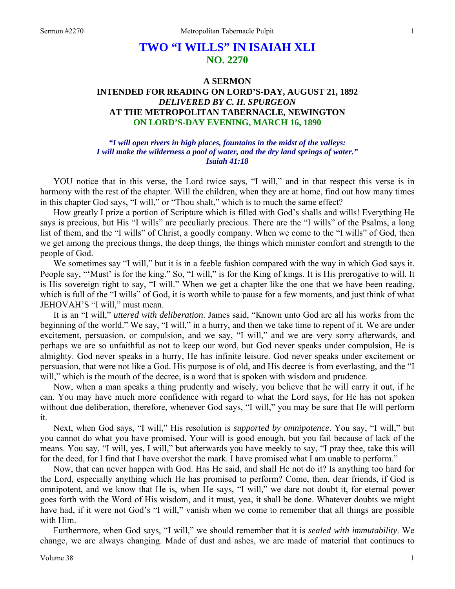# **TWO "I WILLS" IN ISAIAH XLI NO. 2270**

# **A SERMON INTENDED FOR READING ON LORD'S-DAY, AUGUST 21, 1892**  *DELIVERED BY C. H. SPURGEON*  **AT THE METROPOLITAN TABERNACLE, NEWINGTON ON LORD'S-DAY EVENING, MARCH 16, 1890**

#### *"I will open rivers in high places, fountains in the midst of the valleys: I will make the wilderness a pool of water, and the dry land springs of water." Isaiah 41:18*

YOU notice that in this verse, the Lord twice says, "I will," and in that respect this verse is in harmony with the rest of the chapter. Will the children, when they are at home, find out how many times in this chapter God says, "I will," or "Thou shalt," which is to much the same effect?

How greatly I prize a portion of Scripture which is filled with God's shalls and wills! Everything He says is precious, but His "I wills" are peculiarly precious. There are the "I wills" of the Psalms, a long list of them, and the "I wills" of Christ, a goodly company. When we come to the "I wills" of God, then we get among the precious things, the deep things, the things which minister comfort and strength to the people of God.

We sometimes say "I will," but it is in a feeble fashion compared with the way in which God says it. People say, "'Must' is for the king." So, "I will," is for the King of kings. It is His prerogative to will. It is His sovereign right to say, "I will." When we get a chapter like the one that we have been reading, which is full of the "I wills" of God, it is worth while to pause for a few moments, and just think of what JEHOVAH'S "I will," must mean.

It is an "I will," *uttered with deliberation*. James said, "Known unto God are all his works from the beginning of the world." We say, "I will," in a hurry, and then we take time to repent of it. We are under excitement, persuasion, or compulsion, and we say, "I will," and we are very sorry afterwards, and perhaps we are so unfaithful as not to keep our word, but God never speaks under compulsion, He is almighty. God never speaks in a hurry, He has infinite leisure. God never speaks under excitement or persuasion, that were not like a God. His purpose is of old, and His decree is from everlasting, and the "I will," which is the mouth of the decree, is a word that is spoken with wisdom and prudence.

Now, when a man speaks a thing prudently and wisely, you believe that he will carry it out, if he can. You may have much more confidence with regard to what the Lord says, for He has not spoken without due deliberation, therefore, whenever God says, "I will," you may be sure that He will perform it.

Next, when God says, "I will," His resolution is *supported by omnipotence*. You say, "I will," but you cannot do what you have promised. Your will is good enough, but you fail because of lack of the means. You say, "I will, yes, I will," but afterwards you have meekly to say, "I pray thee, take this will for the deed, for I find that I have overshot the mark. I have promised what I am unable to perform."

Now, that can never happen with God. Has He said, and shall He not do it? Is anything too hard for the Lord, especially anything which He has promised to perform? Come, then, dear friends, if God is omnipotent, and we know that He is, when He says, "I will," we dare not doubt it, for eternal power goes forth with the Word of His wisdom, and it must, yea, it shall be done. Whatever doubts we might have had, if it were not God's "I will," vanish when we come to remember that all things are possible with Him.

Furthermore, when God says, "I will," we should remember that it is *sealed with immutability*. We change, we are always changing. Made of dust and ashes, we are made of material that continues to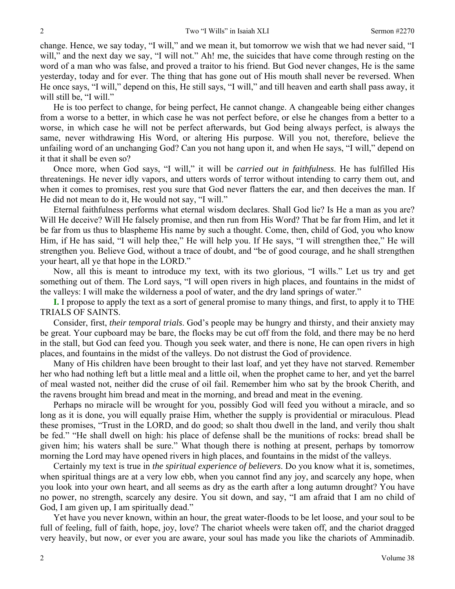change. Hence, we say today, "I will," and we mean it, but tomorrow we wish that we had never said, "I will," and the next day we say, "I will not." Ah! me, the suicides that have come through resting on the word of a man who was false, and proved a traitor to his friend. But God never changes, He is the same yesterday, today and for ever. The thing that has gone out of His mouth shall never be reversed. When He once says, "I will," depend on this, He still says, "I will," and till heaven and earth shall pass away, it will still be, "I will."

He is too perfect to change, for being perfect, He cannot change. A changeable being either changes from a worse to a better, in which case he was not perfect before, or else he changes from a better to a worse, in which case he will not be perfect afterwards, but God being always perfect, is always the same, never withdrawing His Word, or altering His purpose. Will you not, therefore, believe the unfailing word of an unchanging God? Can you not hang upon it, and when He says, "I will," depend on it that it shall be even so?

Once more, when God says, "I will," it will be *carried out in faithfulness*. He has fulfilled His threatenings. He never idly vapors, and utters words of terror without intending to carry them out, and when it comes to promises, rest you sure that God never flatters the ear, and then deceives the man. If He did not mean to do it, He would not say, "I will."

Eternal faithfulness performs what eternal wisdom declares. Shall God lie? Is He a man as you are? Will He deceive? Will He falsely promise, and then run from His Word? That be far from Him, and let it be far from us thus to blaspheme His name by such a thought. Come, then, child of God, you who know Him, if He has said, "I will help thee," He will help you. If He says, "I will strengthen thee," He will strengthen you. Believe God, without a trace of doubt, and "be of good courage, and he shall strengthen your heart, all ye that hope in the LORD."

Now, all this is meant to introduce my text, with its two glorious, "I wills." Let us try and get something out of them. The Lord says, "I will open rivers in high places, and fountains in the midst of the valleys: I will make the wilderness a pool of water, and the dry land springs of water."

**I.** I propose to apply the text as a sort of general promise to many things, and first, to apply it to THE TRIALS OF SAINTS.

Consider, first, *their temporal trials*. God's people may be hungry and thirsty, and their anxiety may be great. Your cupboard may be bare, the flocks may be cut off from the fold, and there may be no herd in the stall, but God can feed you. Though you seek water, and there is none, He can open rivers in high places, and fountains in the midst of the valleys. Do not distrust the God of providence.

Many of His children have been brought to their last loaf, and yet they have not starved. Remember her who had nothing left but a little meal and a little oil, when the prophet came to her, and yet the barrel of meal wasted not, neither did the cruse of oil fail. Remember him who sat by the brook Cherith, and the ravens brought him bread and meat in the morning, and bread and meat in the evening.

Perhaps no miracle will be wrought for you, possibly God will feed you without a miracle, and so long as it is done, you will equally praise Him, whether the supply is providential or miraculous. Plead these promises, "Trust in the LORD, and do good; so shalt thou dwell in the land, and verily thou shalt be fed." "He shall dwell on high: his place of defense shall be the munitions of rocks: bread shall be given him; his waters shall be sure." What though there is nothing at present, perhaps by tomorrow morning the Lord may have opened rivers in high places, and fountains in the midst of the valleys.

Certainly my text is true in *the spiritual experience of believers*. Do you know what it is, sometimes, when spiritual things are at a very low ebb, when you cannot find any joy, and scarcely any hope, when you look into your own heart, and all seems as dry as the earth after a long autumn drought? You have no power, no strength, scarcely any desire. You sit down, and say, "I am afraid that I am no child of God, I am given up, I am spiritually dead."

Yet have you never known, within an hour, the great water-floods to be let loose, and your soul to be full of feeling, full of faith, hope, joy, love? The chariot wheels were taken off, and the chariot dragged very heavily, but now, or ever you are aware, your soul has made you like the chariots of Amminadib.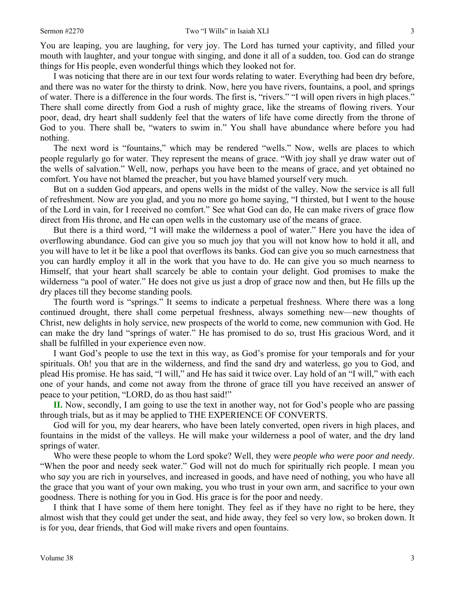You are leaping, you are laughing, for very joy. The Lord has turned your captivity, and filled your mouth with laughter, and your tongue with singing, and done it all of a sudden, too. God can do strange things for His people, even wonderful things which they looked not for.

I was noticing that there are in our text four words relating to water. Everything had been dry before, and there was no water for the thirsty to drink. Now, here you have rivers, fountains, a pool, and springs of water. There is a difference in the four words. The first is, "rivers." "I will open rivers in high places." There shall come directly from God a rush of mighty grace, like the streams of flowing rivers. Your poor, dead, dry heart shall suddenly feel that the waters of life have come directly from the throne of God to you. There shall be, "waters to swim in." You shall have abundance where before you had nothing.

The next word is "fountains," which may be rendered "wells." Now, wells are places to which people regularly go for water. They represent the means of grace. "With joy shall ye draw water out of the wells of salvation." Well, now, perhaps you have been to the means of grace, and yet obtained no comfort. You have not blamed the preacher, but you have blamed yourself very much.

But on a sudden God appears, and opens wells in the midst of the valley. Now the service is all full of refreshment. Now are you glad, and you no more go home saying, "I thirsted, but I went to the house of the Lord in vain, for I received no comfort." See what God can do, He can make rivers of grace flow direct from His throne, and He can open wells in the customary use of the means of grace.

But there is a third word, "I will make the wilderness a pool of water." Here you have the idea of overflowing abundance. God can give you so much joy that you will not know how to hold it all, and you will have to let it be like a pool that overflows its banks. God can give you so much earnestness that you can hardly employ it all in the work that you have to do. He can give you so much nearness to Himself, that your heart shall scarcely be able to contain your delight. God promises to make the wilderness "a pool of water." He does not give us just a drop of grace now and then, but He fills up the dry places till they become standing pools.

The fourth word is "springs." It seems to indicate a perpetual freshness. Where there was a long continued drought, there shall come perpetual freshness, always something new—new thoughts of Christ, new delights in holy service, new prospects of the world to come, new communion with God. He can make the dry land "springs of water." He has promised to do so, trust His gracious Word, and it shall be fulfilled in your experience even now.

I want God's people to use the text in this way, as God's promise for your temporals and for your spirituals. Oh! you that are in the wilderness, and find the sand dry and waterless, go you to God, and plead His promise. He has said, "I will," and He has said it twice over. Lay hold of an "I will," with each one of your hands, and come not away from the throne of grace till you have received an answer of peace to your petition, "LORD, do as thou hast said!"

**II.** Now, secondly, I am going to use the text in another way, not for God's people who are passing through trials, but as it may be applied to THE EXPERIENCE OF CONVERTS.

God will for you, my dear hearers, who have been lately converted, open rivers in high places, and fountains in the midst of the valleys. He will make your wilderness a pool of water, and the dry land springs of water.

Who were these people to whom the Lord spoke? Well, they were *people who were poor and needy*. "When the poor and needy seek water." God will not do much for spiritually rich people. I mean you who *say* you are rich in yourselves, and increased in goods, and have need of nothing, you who have all the grace that you want of your own making, you who trust in your own arm, and sacrifice to your own goodness. There is nothing for you in God. His grace is for the poor and needy.

I think that I have some of them here tonight. They feel as if they have no right to be here, they almost wish that they could get under the seat, and hide away, they feel so very low, so broken down. It is for you, dear friends, that God will make rivers and open fountains.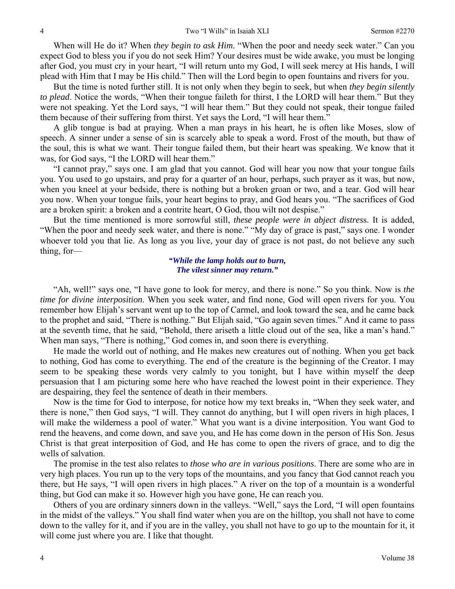When will He do it? When *they begin to ask Him*. "When the poor and needy seek water." Can you expect God to bless you if you do not seek Him? Your desires must be wide awake, you must be longing after God, you must cry in your heart, "I will return unto my God, I will seek mercy at His hands, I will plead with Him that I may be His child." Then will the Lord begin to open fountains and rivers for you.

But the time is noted further still. It is not only when they begin to seek, but when *they begin silently to plead*. Notice the words, "When their tongue faileth for thirst, I the LORD will hear them." But they were not speaking. Yet the Lord says, "I will hear them." But they could not speak, their tongue failed them because of their suffering from thirst. Yet says the Lord, "I will hear them."

A glib tongue is bad at praying. When a man prays in his heart, he is often like Moses, slow of speech. A sinner under a sense of sin is scarcely able to speak a word. Frost of the mouth, but thaw of the soul, this is what we want. Their tongue failed them, but their heart was speaking. We know that it was, for God says, "I the LORD will hear them."

"I cannot pray," says one. I am glad that you cannot. God will hear you now that your tongue fails you. You used to go upstairs, and pray for a quarter of an hour, perhaps, such prayer as it was, but now, when you kneel at your bedside, there is nothing but a broken groan or two, and a tear. God will hear you now. When your tongue fails, your heart begins to pray, and God hears you. "The sacrifices of God are a broken spirit: a broken and a contrite heart, O God, thou wilt not despise."

But the time mentioned is more sorrowful still, *these people were in abject distres*s. It is added, "When the poor and needy seek water, and there is none." "My day of grace is past," says one. I wonder whoever told you that lie. As long as you live, your day of grace is not past, do not believe any such thing, for—

#### *"While the lamp holds out to burn, The vilest sinner may return."*

"Ah, well!" says one, "I have gone to look for mercy, and there is none." So you think. Now is *the time for divine interposition*. When you seek water, and find none, God will open rivers for you. You remember how Elijah's servant went up to the top of Carmel, and look toward the sea, and he came back to the prophet and said, "There is nothing." But Elijah said, "Go again seven times." And it came to pass at the seventh time, that he said, "Behold, there ariseth a little cloud out of the sea, like a man's hand." When man says, "There is nothing," God comes in, and soon there is everything.

He made the world out of nothing, and He makes new creatures out of nothing. When you get back to nothing, God has come to everything. The end of the creature is the beginning of the Creator. I may seem to be speaking these words very calmly to you tonight, but I have within myself the deep persuasion that I am picturing some here who have reached the lowest point in their experience. They are despairing, they feel the sentence of death in their members.

Now is the time for God to interpose, for notice how my text breaks in, "When they seek water, and there is none," then God says, "I will. They cannot do anything, but I will open rivers in high places, I will make the wilderness a pool of water." What you want is a divine interposition. You want God to rend the heavens, and come down, and save you, and He has come down in the person of His Son. Jesus Christ is that great interposition of God, and He has come to open the rivers of grace, and to dig the wells of salvation.

The promise in the test also relates to *those who are in various positions*. There are some who are in very high places. You run up to the very tops of the mountains, and you fancy that God cannot reach you there, but He says, "I will open rivers in high places." A river on the top of a mountain is a wonderful thing, but God can make it so. However high you have gone, He can reach you.

Others of you are ordinary sinners down in the valleys. "Well," says the Lord, "I will open fountains in the midst of the valleys." You shall find water when you are on the hilltop, you shall not have to come down to the valley for it, and if you are in the valley, you shall not have to go up to the mountain for it, it will come just where you are. I like that thought.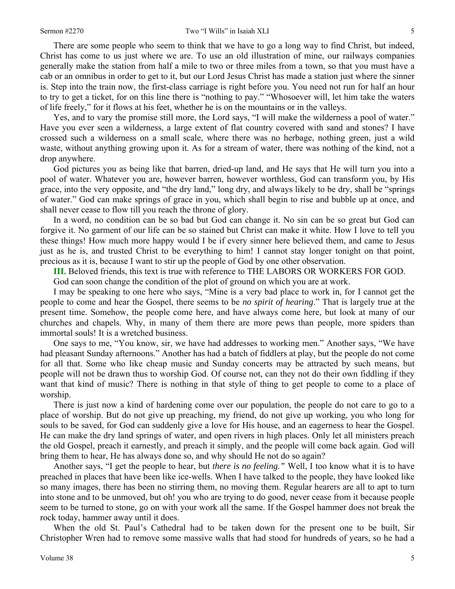There are some people who seem to think that we have to go a long way to find Christ, but indeed, Christ has come to us just where we are. To use an old illustration of mine, our railways companies generally make the station from half a mile to two or three miles from a town, so that you must have a cab or an omnibus in order to get to it, but our Lord Jesus Christ has made a station just where the sinner is. Step into the train now, the first-class carriage is right before you. You need not run for half an hour to try to get a ticket, for on this line there is "nothing to pay." "Whosoever will, let him take the waters of life freely," for it flows at his feet, whether he is on the mountains or in the valleys.

Yes, and to vary the promise still more, the Lord says, "I will make the wilderness a pool of water." Have you ever seen a wilderness, a large extent of flat country covered with sand and stones? I have crossed such a wilderness on a small scale, where there was no herbage, nothing green, just a wild waste, without anything growing upon it. As for a stream of water, there was nothing of the kind, not a drop anywhere.

God pictures you as being like that barren, dried-up land, and He says that He will turn you into a pool of water. Whatever you are, however barren, however worthless, God can transform you, by His grace, into the very opposite, and "the dry land," long dry, and always likely to be dry, shall be "springs of water." God can make springs of grace in you, which shall begin to rise and bubble up at once, and shall never cease to flow till you reach the throne of glory.

In a word, no condition can be so bad but God can change it. No sin can be so great but God can forgive it. No garment of our life can be so stained but Christ can make it white. How I love to tell you these things! How much more happy would I be if every sinner here believed them, and came to Jesus just as he is, and trusted Christ to be everything to him! I cannot stay longer tonight on that point, precious as it is, because I want to stir up the people of God by one other observation.

**III.** Beloved friends, this text is true with reference to THE LABORS OR WORKERS FOR GOD.

God can soon change the condition of the plot of ground on which you are at work.

I may be speaking to one here who says, "Mine is a very bad place to work in, for I cannot get the people to come and hear the Gospel, there seems to be *no spirit of hearing*." That is largely true at the present time. Somehow, the people come here, and have always come here, but look at many of our churches and chapels. Why, in many of them there are more pews than people, more spiders than immortal souls! It is a wretched business.

One says to me, "You know, sir, we have had addresses to working men." Another says, "We have had pleasant Sunday afternoons." Another has had a batch of fiddlers at play, but the people do not come for all that. Some who like cheap music and Sunday concerts may be attracted by such means, but people will not be drawn thus to worship God. Of course not, can they not do their own fiddling if they want that kind of music? There is nothing in that style of thing to get people to come to a place of worship.

There is just now a kind of hardening come over our population, the people do not care to go to a place of worship. But do not give up preaching, my friend, do not give up working, you who long for souls to be saved, for God can suddenly give a love for His house, and an eagerness to hear the Gospel. He can make the dry land springs of water, and open rivers in high places. Only let all ministers preach the old Gospel, preach it earnestly, and preach it simply, and the people will come back again. God will bring them to hear, He has always done so, and why should He not do so again?

Another says, "I get the people to hear, but *there is no feeling."* Well, I too know what it is to have preached in places that have been like ice-wells. When I have talked to the people, they have looked like so many images, there has been no stirring them, no moving them. Regular hearers are all to apt to turn into stone and to be unmoved, but oh! you who are trying to do good, never cease from it because people seem to be turned to stone, go on with your work all the same. If the Gospel hammer does not break the rock today, hammer away until it does.

When the old St. Paul's Cathedral had to be taken down for the present one to be built, Sir Christopher Wren had to remove some massive walls that had stood for hundreds of years, so he had a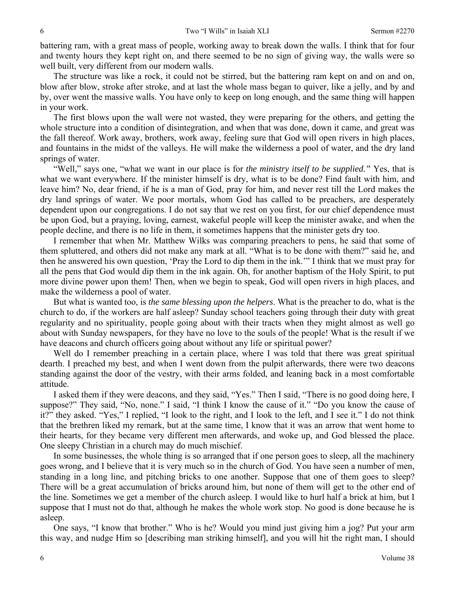battering ram, with a great mass of people, working away to break down the walls. I think that for four and twenty hours they kept right on, and there seemed to be no sign of giving way, the walls were so well built, very different from our modern walls.

The structure was like a rock, it could not be stirred, but the battering ram kept on and on and on, blow after blow, stroke after stroke, and at last the whole mass began to quiver, like a jelly, and by and by, over went the massive walls. You have only to keep on long enough, and the same thing will happen in your work.

The first blows upon the wall were not wasted, they were preparing for the others, and getting the whole structure into a condition of disintegration, and when that was done, down it came, and great was the fall thereof. Work away, brothers, work away, feeling sure that God will open rivers in high places, and fountains in the midst of the valleys. He will make the wilderness a pool of water, and the dry land springs of water.

"Well," says one, "what we want in our place is for *the ministry itself to be supplied."* Yes, that is what we want everywhere. If the minister himself is dry, what is to be done? Find fault with him, and leave him? No, dear friend, if he is a man of God, pray for him, and never rest till the Lord makes the dry land springs of water. We poor mortals, whom God has called to be preachers, are desperately dependent upon our congregations. I do not say that we rest on you first, for our chief dependence must be upon God, but a praying, loving, earnest, wakeful people will keep the minister awake, and when the people decline, and there is no life in them, it sometimes happens that the minister gets dry too.

I remember that when Mr. Matthew Wilks was comparing preachers to pens, he said that some of them spluttered, and others did not make any mark at all. "What is to be done with them?" said he, and then he answered his own question, 'Pray the Lord to dip them in the ink.'" I think that we must pray for all the pens that God would dip them in the ink again. Oh, for another baptism of the Holy Spirit, to put more divine power upon them! Then, when we begin to speak, God will open rivers in high places, and make the wilderness a pool of water.

But what is wanted too, is *the same blessing upon the helpers*. What is the preacher to do, what is the church to do, if the workers are half asleep? Sunday school teachers going through their duty with great regularity and no spirituality, people going about with their tracts when they might almost as well go about with Sunday newspapers, for they have no love to the souls of the people! What is the result if we have deacons and church officers going about without any life or spiritual power?

Well do I remember preaching in a certain place, where I was told that there was great spiritual dearth. I preached my best, and when I went down from the pulpit afterwards, there were two deacons standing against the door of the vestry, with their arms folded, and leaning back in a most comfortable attitude.

I asked them if they were deacons, and they said, "Yes." Then I said, "There is no good doing here, I suppose?" They said, "No, none." I said, "I think I know the cause of it." "Do you know the cause of it?" they asked. "Yes," I replied, "I look to the right, and I look to the left, and I see it." I do not think that the brethren liked my remark, but at the same time, I know that it was an arrow that went home to their hearts, for they became very different men afterwards, and woke up, and God blessed the place. One sleepy Christian in a church may do much mischief.

In some businesses, the whole thing is so arranged that if one person goes to sleep, all the machinery goes wrong, and I believe that it is very much so in the church of God. You have seen a number of men, standing in a long line, and pitching bricks to one another. Suppose that one of them goes to sleep? There will be a great accumulation of bricks around him, but none of them will get to the other end of the line. Sometimes we get a member of the church asleep. I would like to hurl half a brick at him, but I suppose that I must not do that, although he makes the whole work stop. No good is done because he is asleep.

One says, "I know that brother." Who is he? Would you mind just giving him a jog? Put your arm this way, and nudge Him so [describing man striking himself], and you will hit the right man, I should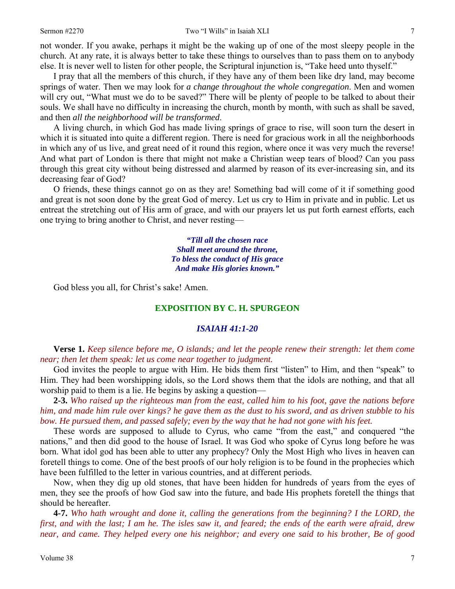not wonder. If you awake, perhaps it might be the waking up of one of the most sleepy people in the church. At any rate, it is always better to take these things to ourselves than to pass them on to anybody else. It is never well to listen for other people, the Scriptural injunction is, "Take heed unto thyself."

I pray that all the members of this church, if they have any of them been like dry land, may become springs of water. Then we may look for *a change throughout the whole congregation*. Men and women will cry out, "What must we do to be saved?" There will be plenty of people to be talked to about their souls. We shall have no difficulty in increasing the church, month by month, with such as shall be saved, and then *all the neighborhood will be transformed*.

A living church, in which God has made living springs of grace to rise, will soon turn the desert in which it is situated into quite a different region. There is need for gracious work in all the neighborhoods in which any of us live, and great need of it round this region, where once it was very much the reverse! And what part of London is there that might not make a Christian weep tears of blood? Can you pass through this great city without being distressed and alarmed by reason of its ever-increasing sin, and its decreasing fear of God?

O friends, these things cannot go on as they are! Something bad will come of it if something good and great is not soon done by the great God of mercy. Let us cry to Him in private and in public. Let us entreat the stretching out of His arm of grace, and with our prayers let us put forth earnest efforts, each one trying to bring another to Christ, and never resting—

> *"Till all the chosen race Shall meet around the throne, To bless the conduct of His grace And make His glories known."*

God bless you all, for Christ's sake! Amen.

## **EXPOSITION BY C. H. SPURGEON**

#### *ISAIAH 41:1-20*

**Verse 1.** *Keep silence before me, O islands; and let the people renew their strength: let them come near; then let them speak: let us come near together to judgment.*

God invites the people to argue with Him. He bids them first "listen" to Him, and then "speak" to Him. They had been worshipping idols, so the Lord shows them that the idols are nothing, and that all worship paid to them is a lie. He begins by asking a question—

**2-3.** *Who raised up the righteous man from the east, called him to his foot, gave the nations before him, and made him rule over kings? he gave them as the dust to his sword, and as driven stubble to his bow. He pursued them, and passed safely; even by the way that he had not gone with his feet.*

These words are supposed to allude to Cyrus, who came "from the east," and conquered "the nations," and then did good to the house of Israel. It was God who spoke of Cyrus long before he was born. What idol god has been able to utter any prophecy? Only the Most High who lives in heaven can foretell things to come. One of the best proofs of our holy religion is to be found in the prophecies which have been fulfilled to the letter in various countries, and at different periods.

Now, when they dig up old stones, that have been hidden for hundreds of years from the eyes of men, they see the proofs of how God saw into the future, and bade His prophets foretell the things that should be hereafter.

**4-7.** *Who hath wrought and done it, calling the generations from the beginning? I the LORD, the first, and with the last; I am he. The isles saw it, and feared; the ends of the earth were afraid, drew near, and came. They helped every one his neighbor; and every one said to his brother, Be of good*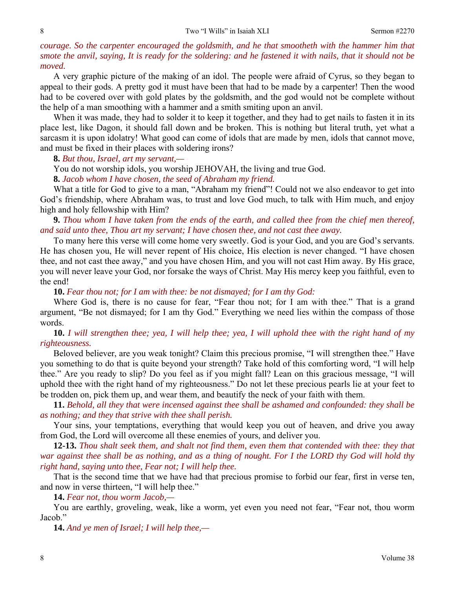## *courage. So the carpenter encouraged the goldsmith, and he that smootheth with the hammer him that smote the anvil, saying, It is ready for the soldering: and he fastened it with nails, that it should not be moved.*

A very graphic picture of the making of an idol. The people were afraid of Cyrus, so they began to appeal to their gods. A pretty god it must have been that had to be made by a carpenter! Then the wood had to be covered over with gold plates by the goldsmith, and the god would not be complete without the help of a man smoothing with a hammer and a smith smiting upon an anvil.

When it was made, they had to solder it to keep it together, and they had to get nails to fasten it in its place lest, like Dagon, it should fall down and be broken. This is nothing but literal truth, yet what a sarcasm it is upon idolatry! What good can come of idols that are made by men, idols that cannot move, and must be fixed in their places with soldering irons?

**8.** *But thou, Israel, art my servant,—*

You do not worship idols, you worship JEHOVAH, the living and true God.

**8.** *Jacob whom I have chosen, the seed of Abraham my friend.*

What a title for God to give to a man, "Abraham my friend"! Could not we also endeavor to get into God's friendship, where Abraham was, to trust and love God much, to talk with Him much, and enjoy high and holy fellowship with Him?

**9.** *Thou whom I have taken from the ends of the earth, and called thee from the chief men thereof, and said unto thee, Thou art my servant; I have chosen thee, and not cast thee away.*

To many here this verse will come home very sweetly. God is your God, and you are God's servants. He has chosen you, He will never repent of His choice, His election is never changed. "I have chosen thee, and not cast thee away," and you have chosen Him, and you will not cast Him away. By His grace, you will never leave your God, nor forsake the ways of Christ. May His mercy keep you faithful, even to the end!

**10.** *Fear thou not; for I am with thee: be not dismayed; for I am thy God:*

Where God is, there is no cause for fear, "Fear thou not; for I am with thee." That is a grand argument, "Be not dismayed; for I am thy God." Everything we need lies within the compass of those words.

## **10.** *I will strengthen thee; yea, I will help thee; yea, I will uphold thee with the right hand of my righteousness.*

Beloved believer, are you weak tonight? Claim this precious promise, "I will strengthen thee." Have you something to do that is quite beyond your strength? Take hold of this comforting word, "I will help thee." Are you ready to slip? Do you feel as if you might fall? Lean on this gracious message, "I will uphold thee with the right hand of my righteousness." Do not let these precious pearls lie at your feet to be trodden on, pick them up, and wear them, and beautify the neck of your faith with them.

**11.** *Behold, all they that were incensed against thee shall be ashamed and confounded: they shall be as nothing; and they that strive with thee shall perish.*

Your sins, your temptations, everything that would keep you out of heaven, and drive you away from God, the Lord will overcome all these enemies of yours, and deliver you.

**12-13.** *Thou shalt seek them, and shalt not find them, even them that contended with thee: they that war against thee shall be as nothing, and as a thing of nought. For I the LORD thy God will hold thy right hand, saying unto thee, Fear not; I will help thee.*

That is the second time that we have had that precious promise to forbid our fear, first in verse ten, and now in verse thirteen, "I will help thee."

**14.** *Fear not, thou worm Jacob,—*

You are earthly, groveling, weak, like a worm, yet even you need not fear, "Fear not, thou worm Jacob."

**14.** *And ye men of Israel; I will help thee,—*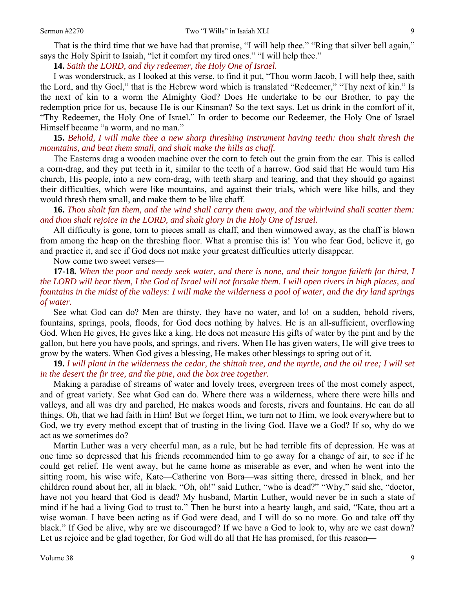That is the third time that we have had that promise, "I will help thee." "Ring that silver bell again," says the Holy Spirit to Isaiah, "let it comfort my tired ones." "I will help thee."

**14.** *Saith the LORD, and thy redeemer, the Holy One of Israel.*

I was wonderstruck, as I looked at this verse, to find it put, "Thou worm Jacob, I will help thee, saith the Lord, and thy Goel," that is the Hebrew word which is translated "Redeemer," "Thy next of kin." Is the next of kin to a worm the Almighty God? Does He undertake to be our Brother, to pay the redemption price for us, because He is our Kinsman? So the text says. Let us drink in the comfort of it, "Thy Redeemer, the Holy One of Israel." In order to become our Redeemer, the Holy One of Israel Himself became "a worm, and no man."

**15.** *Behold, I will make thee a new sharp threshing instrument having teeth: thou shalt thresh the mountains, and beat them small, and shalt make the hills as chaff.*

The Easterns drag a wooden machine over the corn to fetch out the grain from the ear. This is called a corn-drag, and they put teeth in it, similar to the teeth of a harrow. God said that He would turn His church, His people, into a new corn-drag, with teeth sharp and tearing, and that they should go against their difficulties, which were like mountains, and against their trials, which were like hills, and they would thresh them small, and make them to be like chaff.

**16.** *Thou shalt fan them, and the wind shall carry them away, and the whirlwind shall scatter them: and thou shalt rejoice in the LORD, and shalt glory in the Holy One of Israel.*

All difficulty is gone, torn to pieces small as chaff, and then winnowed away, as the chaff is blown from among the heap on the threshing floor. What a promise this is! You who fear God, believe it, go and practice it, and see if God does not make your greatest difficulties utterly disappear.

Now come two sweet verses—

**17-18.** *When the poor and needy seek water, and there is none, and their tongue faileth for thirst, I the LORD will hear them, I the God of Israel will not forsake them. I will open rivers in high places, and fountains in the midst of the valleys: I will make the wilderness a pool of water, and the dry land springs of water.*

See what God can do? Men are thirsty, they have no water, and lo! on a sudden, behold rivers, fountains, springs, pools, floods, for God does nothing by halves. He is an all-sufficient, overflowing God. When He gives, He gives like a king. He does not measure His gifts of water by the pint and by the gallon, but here you have pools, and springs, and rivers. When He has given waters, He will give trees to grow by the waters. When God gives a blessing, He makes other blessings to spring out of it.

**19.** *I will plant in the wilderness the cedar, the shittah tree, and the myrtle, and the oil tree; I will set in the desert the fir tree, and the pine, and the box tree together.*

Making a paradise of streams of water and lovely trees, evergreen trees of the most comely aspect, and of great variety. See what God can do. Where there was a wilderness, where there were hills and valleys, and all was dry and parched, He makes woods and forests, rivers and fountains. He can do all things. Oh, that we had faith in Him! But we forget Him, we turn not to Him, we look everywhere but to God, we try every method except that of trusting in the living God. Have we a God? If so, why do we act as we sometimes do?

Martin Luther was a very cheerful man, as a rule, but he had terrible fits of depression. He was at one time so depressed that his friends recommended him to go away for a change of air, to see if he could get relief. He went away, but he came home as miserable as ever, and when he went into the sitting room, his wise wife, Kate—Catherine von Bora—was sitting there, dressed in black, and her children round about her, all in black. "Oh, oh!" said Luther, "who is dead?" "Why," said she, "doctor, have not you heard that God is dead? My husband, Martin Luther, would never be in such a state of mind if he had a living God to trust to." Then he burst into a hearty laugh, and said, "Kate, thou art a wise woman. I have been acting as if God were dead, and I will do so no more. Go and take off thy black." If God be alive, why are we discouraged? If we have a God to look to, why are we cast down? Let us rejoice and be glad together, for God will do all that He has promised, for this reason—